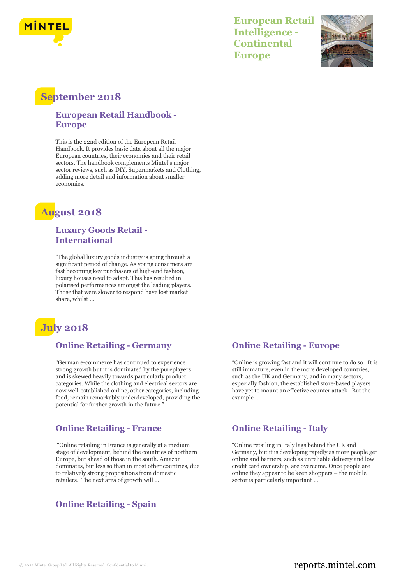

**European Retail Intelligence - Continental Europe**



# **September 2018**

#### **European Retail Handbook - Europe**

This is the 22nd edition of the European Retail Handbook. It provides basic data about all the major European countries, their economies and their retail sectors. The handbook complements Mintel's major sector reviews, such as DIY, Supermarkets and Clothing, adding more detail and information about smaller economies.

# **August 2018**

#### **Luxury Goods Retail - International**

"The global luxury goods industry is going through a significant period of change. As young consumers are fast becoming key purchasers of high-end fashion, luxury houses need to adapt. This has resulted in polarised performances amongst the leading players. Those that were slower to respond have lost market share, whilst ...

# **July 2018**

### **Online Retailing - Germany**

"German e-commerce has continued to experience strong growth but it is dominated by the pureplayers and is skewed heavily towards particularly product categories. While the clothing and electrical sectors are now well-established online, other categories, including food, remain remarkably underdeveloped, providing the potential for further growth in the future."

### **Online Retailing - France**

"Online retailing in France is generally at a medium stage of development, behind the countries of northern Europe, but ahead of those in the south. Amazon dominates, but less so than in most other countries, due to relatively strong propositions from domestic retailers. The next area of growth will ...

### **Online Retailing - Spain**

#### **Online Retailing - Europe**

"Online is growing fast and it will continue to do so. It is still immature, even in the more developed countries, such as the UK and Germany, and in many sectors, especially fashion, the established store-based players have yet to mount an effective counter attack. But the example ...

#### **Online Retailing - Italy**

"Online retailing in Italy lags behind the UK and Germany, but it is developing rapidly as more people get online and barriers, such as unreliable delivery and low credit card ownership, are overcome. Once people are online they appear to be keen shoppers – the mobile sector is particularly important ...